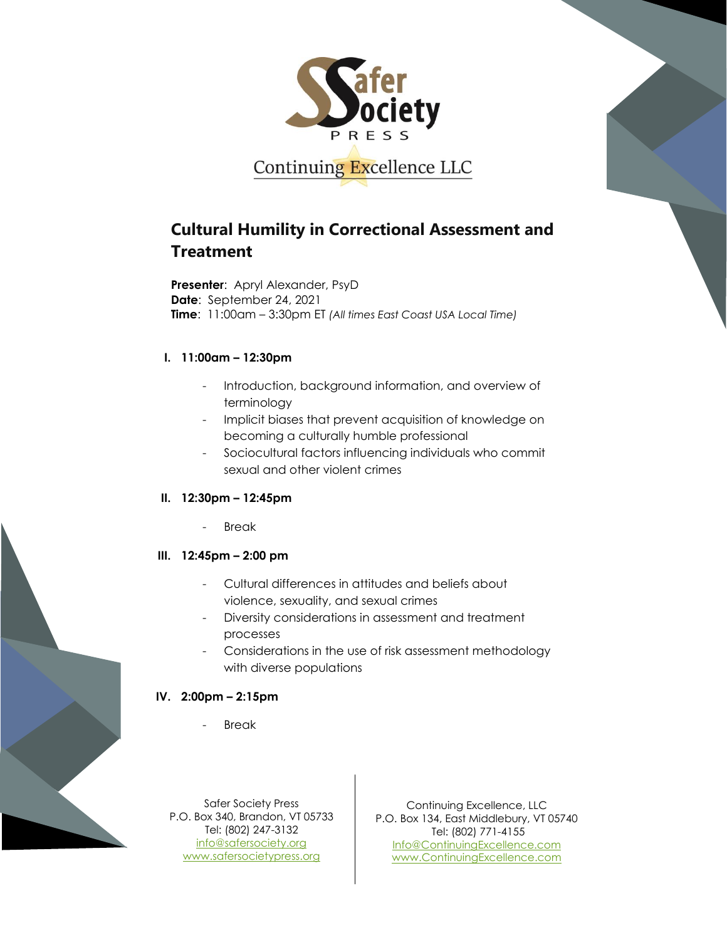

# **Cultural Humility in Correctional Assessment and Treatment**

**Presenter**: Apryl Alexander, PsyD **Date**: September 24, 2021 **Time**: 11:00am – 3:30pm ET *(All times East Coast USA Local Time)*

#### **I. 11:00am – 12:30pm**

- Introduction, background information, and overview of terminology
- Implicit biases that prevent acquisition of knowledge on becoming a culturally humble professional
- Sociocultural factors influencing individuals who commit sexual and other violent crimes

## **II. 12:30pm – 12:45pm**

**Break** 

## **III. 12:45pm – 2:00 pm**

- Cultural differences in attitudes and beliefs about violence, sexuality, and sexual crimes
- Diversity considerations in assessment and treatment processes
- Considerations in the use of risk assessment methodology with diverse populations

## **IV. 2:00pm – 2:15pm**

**Break** 

Safer Society Press P.O. Box 340, Brandon, VT 05733 Tel: (802) 247-3132 [info@safersociety.org](mailto:info@safersociety.org) [www.safersocietypress.org](http://www.safersocietypress.org/)

Continuing Excellence, LLC P.O. Box 134, East Middlebury, VT 05740 Tel: (802) 771-4155 [Info@ContinuingExcellence.com](mailto:Info@ContinuingExcellence.com) [www.ContinuingExcellence.com](http://www.continuingexcellence.com/)